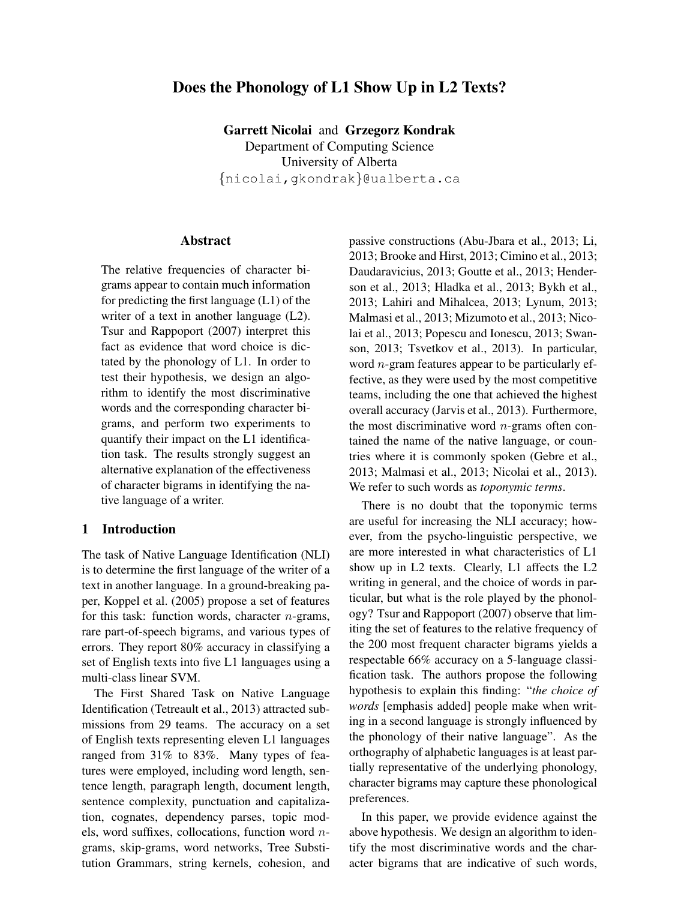# Does the Phonology of L1 Show Up in L2 Texts?

Garrett Nicolai and Grzegorz Kondrak Department of Computing Science University of Alberta {nicolai,gkondrak}@ualberta.ca

#### Abstract

The relative frequencies of character bigrams appear to contain much information for predicting the first language (L1) of the writer of a text in another language  $(L2)$ . Tsur and Rappoport (2007) interpret this fact as evidence that word choice is dictated by the phonology of L1. In order to test their hypothesis, we design an algorithm to identify the most discriminative words and the corresponding character bigrams, and perform two experiments to quantify their impact on the L1 identification task. The results strongly suggest an alternative explanation of the effectiveness of character bigrams in identifying the native language of a writer.

### 1 Introduction

The task of Native Language Identification (NLI) is to determine the first language of the writer of a text in another language. In a ground-breaking paper, Koppel et al. (2005) propose a set of features for this task: function words, character  $n$ -grams, rare part-of-speech bigrams, and various types of errors. They report 80% accuracy in classifying a set of English texts into five L1 languages using a multi-class linear SVM.

The First Shared Task on Native Language Identification (Tetreault et al., 2013) attracted submissions from 29 teams. The accuracy on a set of English texts representing eleven L1 languages ranged from 31% to 83%. Many types of features were employed, including word length, sentence length, paragraph length, document length, sentence complexity, punctuation and capitalization, cognates, dependency parses, topic models, word suffixes, collocations, function word ngrams, skip-grams, word networks, Tree Substitution Grammars, string kernels, cohesion, and passive constructions (Abu-Jbara et al., 2013; Li, 2013; Brooke and Hirst, 2013; Cimino et al., 2013; Daudaravicius, 2013; Goutte et al., 2013; Henderson et al., 2013; Hladka et al., 2013; Bykh et al., 2013; Lahiri and Mihalcea, 2013; Lynum, 2013; Malmasi et al., 2013; Mizumoto et al., 2013; Nicolai et al., 2013; Popescu and Ionescu, 2013; Swanson, 2013; Tsvetkov et al., 2013). In particular, word  $n$ -gram features appear to be particularly effective, as they were used by the most competitive teams, including the one that achieved the highest overall accuracy (Jarvis et al., 2013). Furthermore, the most discriminative word  $n$ -grams often contained the name of the native language, or countries where it is commonly spoken (Gebre et al., 2013; Malmasi et al., 2013; Nicolai et al., 2013). We refer to such words as *toponymic terms*.

There is no doubt that the toponymic terms are useful for increasing the NLI accuracy; however, from the psycho-linguistic perspective, we are more interested in what characteristics of L1 show up in L2 texts. Clearly, L1 affects the L2 writing in general, and the choice of words in particular, but what is the role played by the phonology? Tsur and Rappoport (2007) observe that limiting the set of features to the relative frequency of the 200 most frequent character bigrams yields a respectable 66% accuracy on a 5-language classification task. The authors propose the following hypothesis to explain this finding: "*the choice of words* [emphasis added] people make when writing in a second language is strongly influenced by the phonology of their native language". As the orthography of alphabetic languages is at least partially representative of the underlying phonology, character bigrams may capture these phonological preferences.

In this paper, we provide evidence against the above hypothesis. We design an algorithm to identify the most discriminative words and the character bigrams that are indicative of such words,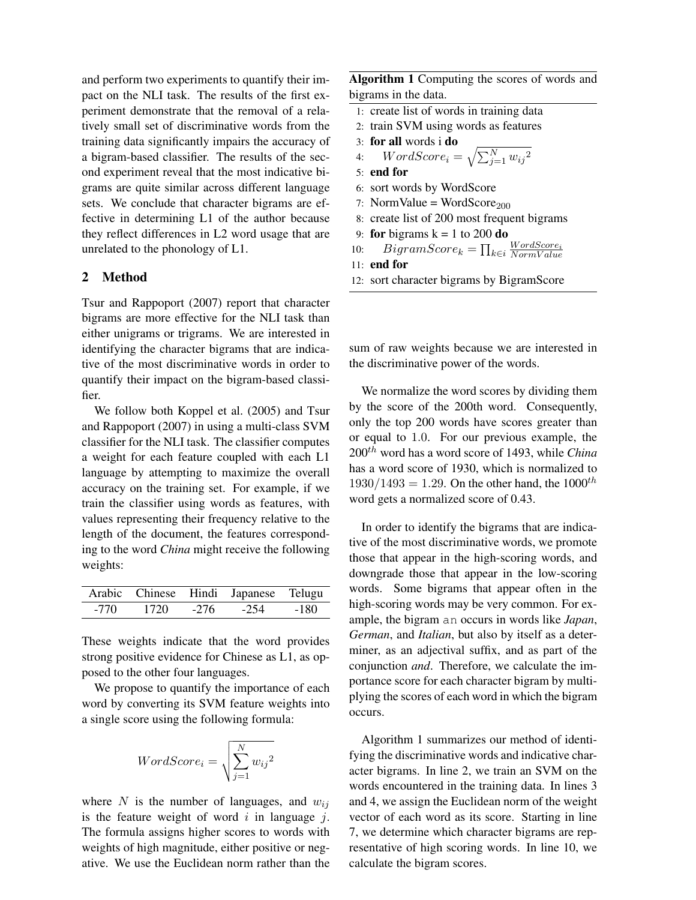and perform two experiments to quantify their impact on the NLI task. The results of the first experiment demonstrate that the removal of a relatively small set of discriminative words from the training data significantly impairs the accuracy of a bigram-based classifier. The results of the second experiment reveal that the most indicative bigrams are quite similar across different language sets. We conclude that character bigrams are effective in determining L1 of the author because they reflect differences in L2 word usage that are unrelated to the phonology of L1.

### 2 Method

Tsur and Rappoport (2007) report that character bigrams are more effective for the NLI task than either unigrams or trigrams. We are interested in identifying the character bigrams that are indicative of the most discriminative words in order to quantify their impact on the bigram-based classifier.

We follow both Koppel et al. (2005) and Tsur and Rappoport (2007) in using a multi-class SVM classifier for the NLI task. The classifier computes a weight for each feature coupled with each L1 language by attempting to maximize the overall accuracy on the training set. For example, if we train the classifier using words as features, with values representing their frequency relative to the length of the document, the features corresponding to the word *China* might receive the following weights:

|      |      |      | Arabic Chinese Hindi Japanese Telugu |      |
|------|------|------|--------------------------------------|------|
| -770 | 1720 | -276 | -254                                 | -180 |

These weights indicate that the word provides strong positive evidence for Chinese as L1, as opposed to the other four languages.

We propose to quantify the importance of each word by converting its SVM feature weights into a single score using the following formula:

$$
WordScore_i = \sqrt{\sum_{j=1}^{N} w_{ij}^2}
$$

where N is the number of languages, and  $w_{ij}$ is the feature weight of word  $i$  in language  $j$ . The formula assigns higher scores to words with weights of high magnitude, either positive or negative. We use the Euclidean norm rather than the

Algorithm 1 Computing the scores of words and bigrams in the data.

- 1: create list of words in training data
- 2: train SVM using words as features
- 3: for all words i do
- 4:  $WordScore_i = \sqrt{\sum_{j=1}^{N} w_{ij}^2}$
- 5: end for
- 6: sort words by WordScore
- 7: NormValue = WordScore<sub>200</sub>
- 8: create list of 200 most frequent bigrams
- 9: **for** bigrams  $k = 1$  to 200 **do**

10: 
$$
BigramScore_k = \prod_{k \in i} \frac{WordScore_i}{NormValue}
$$

11: end for

12: sort character bigrams by BigramScore

sum of raw weights because we are interested in the discriminative power of the words.

We normalize the word scores by dividing them by the score of the 200th word. Consequently, only the top 200 words have scores greater than or equal to 1.0. For our previous example, the 200th word has a word score of 1493, while *China* has a word score of 1930, which is normalized to  $1930/1493 = 1.29$ . On the other hand, the  $1000^{th}$ word gets a normalized score of 0.43.

In order to identify the bigrams that are indicative of the most discriminative words, we promote those that appear in the high-scoring words, and downgrade those that appear in the low-scoring words. Some bigrams that appear often in the high-scoring words may be very common. For example, the bigram an occurs in words like *Japan*, *German*, and *Italian*, but also by itself as a determiner, as an adjectival suffix, and as part of the conjunction *and*. Therefore, we calculate the importance score for each character bigram by multiplying the scores of each word in which the bigram occurs.

Algorithm 1 summarizes our method of identifying the discriminative words and indicative character bigrams. In line 2, we train an SVM on the words encountered in the training data. In lines 3 and 4, we assign the Euclidean norm of the weight vector of each word as its score. Starting in line 7, we determine which character bigrams are representative of high scoring words. In line 10, we calculate the bigram scores.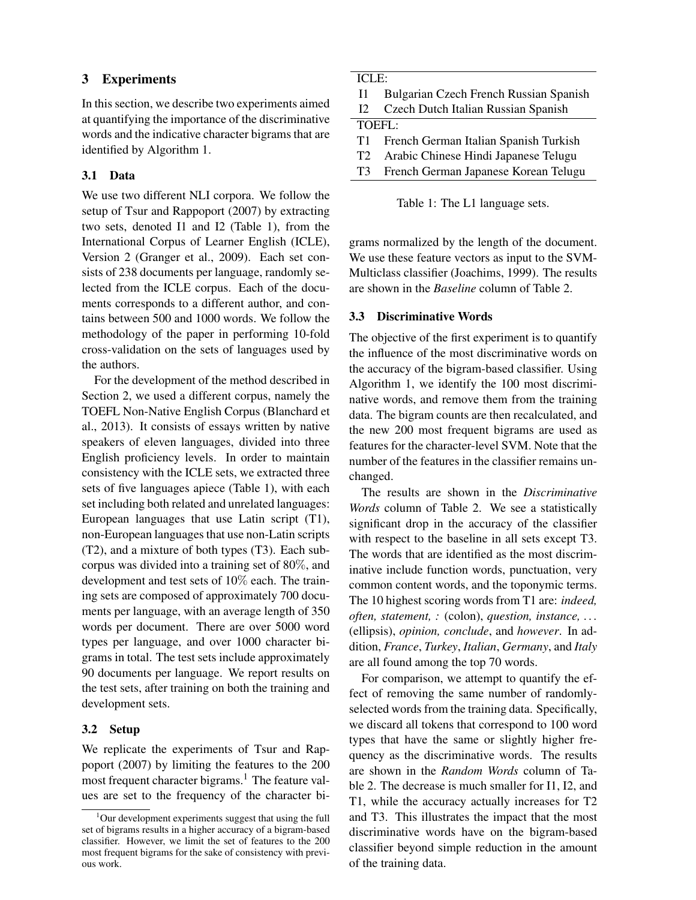# 3 Experiments

In this section, we describe two experiments aimed at quantifying the importance of the discriminative words and the indicative character bigrams that are identified by Algorithm 1.

## 3.1 Data

We use two different NLI corpora. We follow the setup of Tsur and Rappoport (2007) by extracting two sets, denoted I1 and I2 (Table 1), from the International Corpus of Learner English (ICLE), Version 2 (Granger et al., 2009). Each set consists of 238 documents per language, randomly selected from the ICLE corpus. Each of the documents corresponds to a different author, and contains between 500 and 1000 words. We follow the methodology of the paper in performing 10-fold cross-validation on the sets of languages used by the authors.

For the development of the method described in Section 2, we used a different corpus, namely the TOEFL Non-Native English Corpus (Blanchard et al., 2013). It consists of essays written by native speakers of eleven languages, divided into three English proficiency levels. In order to maintain consistency with the ICLE sets, we extracted three sets of five languages apiece (Table 1), with each set including both related and unrelated languages: European languages that use Latin script (T1), non-European languages that use non-Latin scripts (T2), and a mixture of both types (T3). Each subcorpus was divided into a training set of 80%, and development and test sets of 10% each. The training sets are composed of approximately 700 documents per language, with an average length of 350 words per document. There are over 5000 word types per language, and over 1000 character bigrams in total. The test sets include approximately 90 documents per language. We report results on the test sets, after training on both the training and development sets.

## 3.2 Setup

We replicate the experiments of Tsur and Rappoport (2007) by limiting the features to the 200 most frequent character bigrams.<sup>1</sup> The feature values are set to the frequency of the character bi-

| ICLE:          |                                          |  |
|----------------|------------------------------------------|--|
| 11.            | Bulgarian Czech French Russian Spanish   |  |
| 12.            | Czech Dutch Italian Russian Spanish      |  |
| TOEFI:         |                                          |  |
|                | T1 French German Italian Spanish Turkish |  |
| T <sub>2</sub> | Arabic Chinese Hindi Japanese Telugu     |  |
| T3             | French German Japanese Korean Telugu     |  |

Table 1: The L1 language sets.

grams normalized by the length of the document. We use these feature vectors as input to the SVM-Multiclass classifier (Joachims, 1999). The results are shown in the *Baseline* column of Table 2.

## 3.3 Discriminative Words

The objective of the first experiment is to quantify the influence of the most discriminative words on the accuracy of the bigram-based classifier. Using Algorithm 1, we identify the 100 most discriminative words, and remove them from the training data. The bigram counts are then recalculated, and the new 200 most frequent bigrams are used as features for the character-level SVM. Note that the number of the features in the classifier remains unchanged.

The results are shown in the *Discriminative Words* column of Table 2. We see a statistically significant drop in the accuracy of the classifier with respect to the baseline in all sets except T3. The words that are identified as the most discriminative include function words, punctuation, very common content words, and the toponymic terms. The 10 highest scoring words from T1 are: *indeed, often, statement, :* (colon), *question, instance, . . .* (ellipsis), *opinion, conclude*, and *however*. In addition, *France*, *Turkey*, *Italian*, *Germany*, and *Italy* are all found among the top 70 words.

For comparison, we attempt to quantify the effect of removing the same number of randomlyselected words from the training data. Specifically, we discard all tokens that correspond to 100 word types that have the same or slightly higher frequency as the discriminative words. The results are shown in the *Random Words* column of Table 2. The decrease is much smaller for I1, I2, and T1, while the accuracy actually increases for T2 and T3. This illustrates the impact that the most discriminative words have on the bigram-based classifier beyond simple reduction in the amount of the training data.

<sup>&</sup>lt;sup>1</sup>Our development experiments suggest that using the full set of bigrams results in a higher accuracy of a bigram-based classifier. However, we limit the set of features to the 200 most frequent bigrams for the sake of consistency with previous work.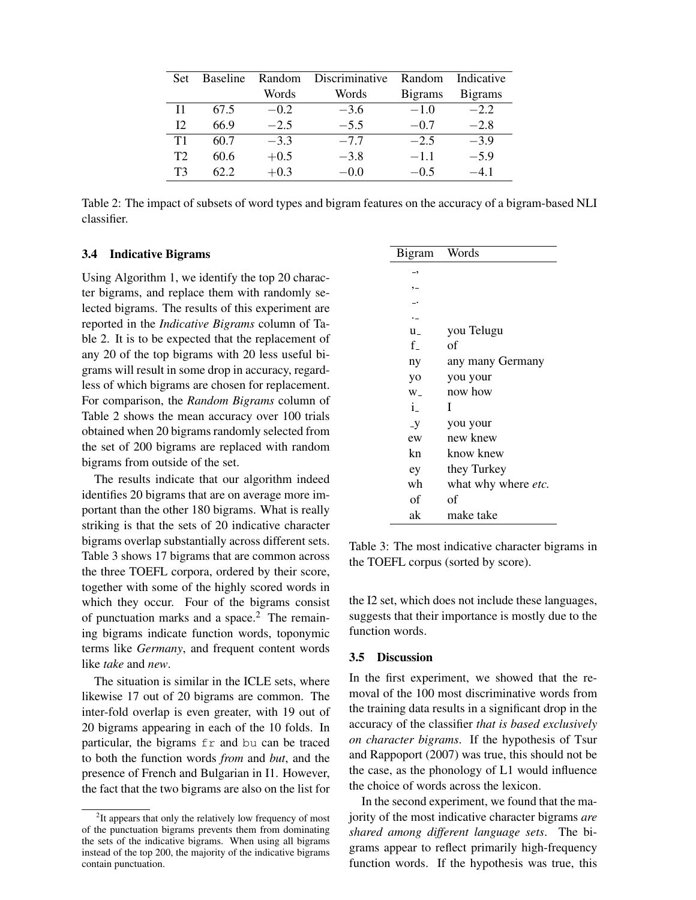| Set: | <b>Baseline</b> | Random | Discriminative | Random          | Indicative      |
|------|-----------------|--------|----------------|-----------------|-----------------|
|      |                 | Words  | Words          | <b>B</b> igrams | <b>B</b> igrams |
| T1   | 67.5            | $-0.2$ | $-3.6$         | $-1.0$          | $-2.2$          |
| 12.  | 66.9            | $-2.5$ | $-5.5$         | $-0.7$          | $-2.8$          |
| T1   | 60.7            | $-3.3$ | $-7.7$         | $-2.5$          | $-3.9$          |
| T2   | 60.6            | $+0.5$ | $-3.8$         | $-1.1$          | $-5.9$          |
| TЗ   | 62.2            | $+0.3$ | $-0.0$         | $-0.5$          | $-41$           |

Table 2: The impact of subsets of word types and bigram features on the accuracy of a bigram-based NLI classifier.

#### 3.4 Indicative Bigrams

Using Algorithm 1, we identify the top 20 character bigrams, and replace them with randomly selected bigrams. The results of this experiment are reported in the *Indicative Bigrams* column of Table 2. It is to be expected that the replacement of any 20 of the top bigrams with 20 less useful bigrams will result in some drop in accuracy, regardless of which bigrams are chosen for replacement. For comparison, the *Random Bigrams* column of Table 2 shows the mean accuracy over 100 trials obtained when 20 bigrams randomly selected from the set of 200 bigrams are replaced with random bigrams from outside of the set.

The results indicate that our algorithm indeed identifies 20 bigrams that are on average more important than the other 180 bigrams. What is really striking is that the sets of 20 indicative character bigrams overlap substantially across different sets. Table 3 shows 17 bigrams that are common across the three TOEFL corpora, ordered by their score, together with some of the highly scored words in which they occur. Four of the bigrams consist of punctuation marks and a space. $<sup>2</sup>$  The remain-</sup> ing bigrams indicate function words, toponymic terms like *Germany*, and frequent content words like *take* and *new*.

The situation is similar in the ICLE sets, where likewise 17 out of 20 bigrams are common. The inter-fold overlap is even greater, with 19 out of 20 bigrams appearing in each of the 10 folds. In particular, the bigrams fr and bu can be traced to both the function words *from* and *but*, and the presence of French and Bulgarian in I1. However, the fact that the two bigrams are also on the list for

| Bigram       | Words               |
|--------------|---------------------|
| -,           |                     |
| $, -$        |                     |
|              |                     |
|              |                     |
| $u_{-}$      | you Telugu          |
| f            | оf                  |
| ny           | any many Germany    |
| yo           | you your            |
| $W_{-}$      | now how             |
| $\mathbf{i}$ | Ι                   |
| $-y$         | you your            |
| ew           | new knew            |
| kn           | know knew           |
| ey           | they Turkey         |
| wh           | what why where etc. |
| оf           | оf                  |
| ak           | make take           |

Table 3: The most indicative character bigrams in the TOEFL corpus (sorted by score).

the I2 set, which does not include these languages, suggests that their importance is mostly due to the function words.

#### 3.5 Discussion

In the first experiment, we showed that the removal of the 100 most discriminative words from the training data results in a significant drop in the accuracy of the classifier *that is based exclusively on character bigrams*. If the hypothesis of Tsur and Rappoport (2007) was true, this should not be the case, as the phonology of L1 would influence the choice of words across the lexicon.

In the second experiment, we found that the majority of the most indicative character bigrams *are shared among different language sets*. The bigrams appear to reflect primarily high-frequency function words. If the hypothesis was true, this

<sup>&</sup>lt;sup>2</sup>It appears that only the relatively low frequency of most of the punctuation bigrams prevents them from dominating the sets of the indicative bigrams. When using all bigrams instead of the top 200, the majority of the indicative bigrams contain punctuation.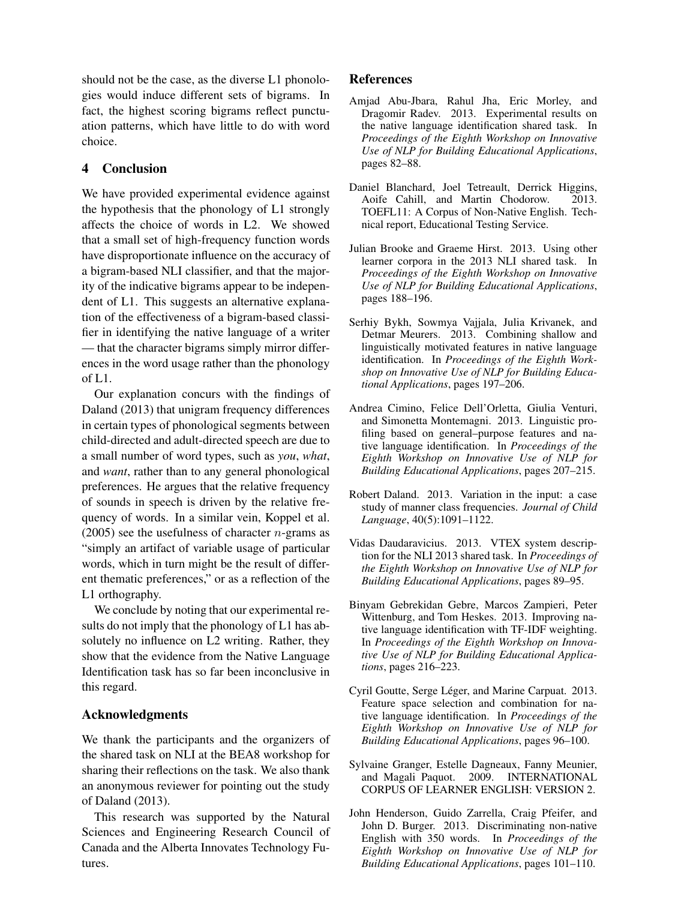should not be the case, as the diverse L1 phonologies would induce different sets of bigrams. In fact, the highest scoring bigrams reflect punctuation patterns, which have little to do with word choice.

## 4 Conclusion

We have provided experimental evidence against the hypothesis that the phonology of L1 strongly affects the choice of words in L2. We showed that a small set of high-frequency function words have disproportionate influence on the accuracy of a bigram-based NLI classifier, and that the majority of the indicative bigrams appear to be independent of L1. This suggests an alternative explanation of the effectiveness of a bigram-based classifier in identifying the native language of a writer — that the character bigrams simply mirror differences in the word usage rather than the phonology of L1.

Our explanation concurs with the findings of Daland (2013) that unigram frequency differences in certain types of phonological segments between child-directed and adult-directed speech are due to a small number of word types, such as *you*, *what*, and *want*, rather than to any general phonological preferences. He argues that the relative frequency of sounds in speech is driven by the relative frequency of words. In a similar vein, Koppel et al. (2005) see the usefulness of character *n*-grams as "simply an artifact of variable usage of particular words, which in turn might be the result of different thematic preferences," or as a reflection of the L1 orthography.

We conclude by noting that our experimental results do not imply that the phonology of L1 has absolutely no influence on L2 writing. Rather, they show that the evidence from the Native Language Identification task has so far been inconclusive in this regard.

#### Acknowledgments

We thank the participants and the organizers of the shared task on NLI at the BEA8 workshop for sharing their reflections on the task. We also thank an anonymous reviewer for pointing out the study of Daland (2013).

This research was supported by the Natural Sciences and Engineering Research Council of Canada and the Alberta Innovates Technology Futures.

#### References

- Amjad Abu-Jbara, Rahul Jha, Eric Morley, and Dragomir Radev. 2013. Experimental results on the native language identification shared task. In *Proceedings of the Eighth Workshop on Innovative Use of NLP for Building Educational Applications*, pages 82–88.
- Daniel Blanchard, Joel Tetreault, Derrick Higgins, Aoife Cahill, and Martin Chodorow. 2013. TOEFL11: A Corpus of Non-Native English. Technical report, Educational Testing Service.
- Julian Brooke and Graeme Hirst. 2013. Using other learner corpora in the 2013 NLI shared task. In *Proceedings of the Eighth Workshop on Innovative Use of NLP for Building Educational Applications*, pages 188–196.
- Serhiy Bykh, Sowmya Vajjala, Julia Krivanek, and Detmar Meurers. 2013. Combining shallow and linguistically motivated features in native language identification. In *Proceedings of the Eighth Workshop on Innovative Use of NLP for Building Educational Applications*, pages 197–206.
- Andrea Cimino, Felice Dell'Orletta, Giulia Venturi, and Simonetta Montemagni. 2013. Linguistic profiling based on general–purpose features and native language identification. In *Proceedings of the Eighth Workshop on Innovative Use of NLP for Building Educational Applications*, pages 207–215.
- Robert Daland. 2013. Variation in the input: a case study of manner class frequencies. *Journal of Child Language*, 40(5):1091–1122.
- Vidas Daudaravicius. 2013. VTEX system description for the NLI 2013 shared task. In *Proceedings of the Eighth Workshop on Innovative Use of NLP for Building Educational Applications*, pages 89–95.
- Binyam Gebrekidan Gebre, Marcos Zampieri, Peter Wittenburg, and Tom Heskes. 2013. Improving native language identification with TF-IDF weighting. In *Proceedings of the Eighth Workshop on Innovative Use of NLP for Building Educational Applications*, pages 216–223.
- Cyril Goutte, Serge Léger, and Marine Carpuat. 2013. Feature space selection and combination for native language identification. In *Proceedings of the Eighth Workshop on Innovative Use of NLP for Building Educational Applications*, pages 96–100.
- Sylvaine Granger, Estelle Dagneaux, Fanny Meunier, and Magali Paquot. 2009. INTERNATIONAL CORPUS OF LEARNER ENGLISH: VERSION 2.
- John Henderson, Guido Zarrella, Craig Pfeifer, and John D. Burger. 2013. Discriminating non-native English with 350 words. In *Proceedings of the Eighth Workshop on Innovative Use of NLP for Building Educational Applications*, pages 101–110.